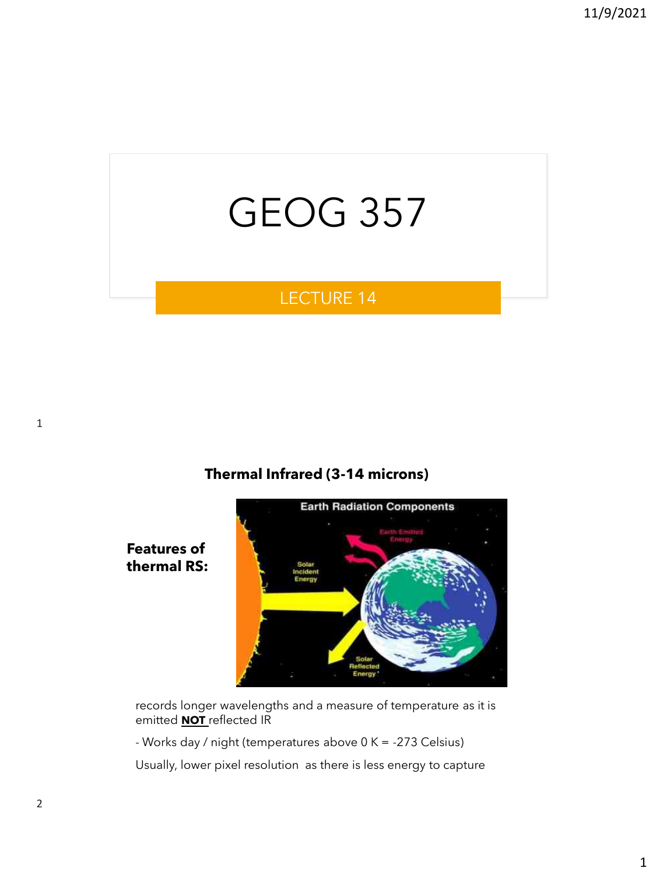# GEOG 357

# LECTURE 14

#### **Thermal Infrared (3-14 microns)**



records longer wavelengths and a measure of temperature as it is emitted **NOT** reflected IR

- Works day / night (temperatures above 0 K = -273 Celsius)

Usually, lower pixel resolution as there is less energy to capture

**Features of thermal RS:**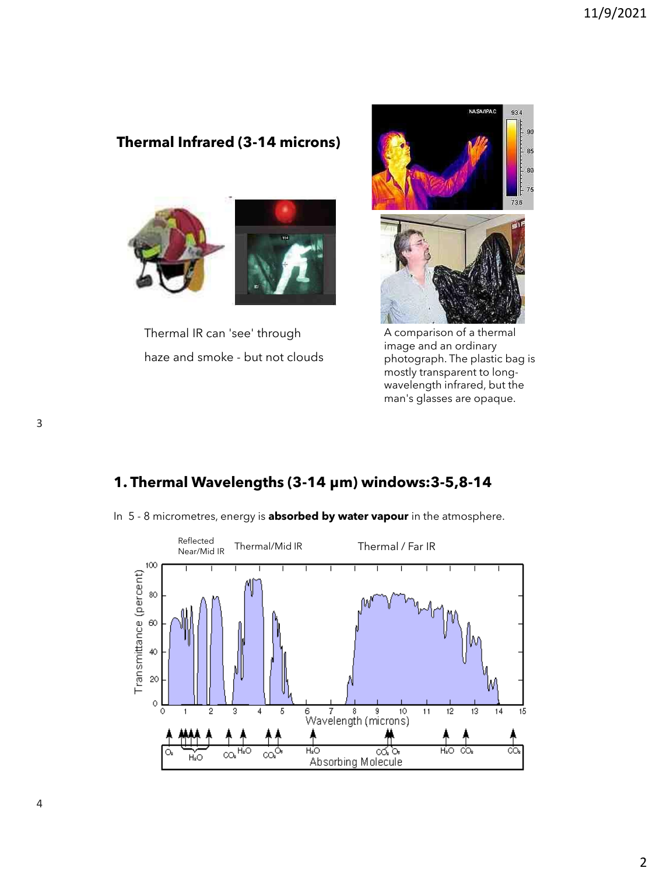## **Thermal Infrared (3-14 microns)**



Thermal IR can 'see' through haze and smoke - but not clouds



A comparison of a thermal image and an ordinary photograph. The plastic bag is mostly transparent to longwavelength infrared, but the man's glasses are opaque.

## **1. Thermal Wavelengths (3-14 μm) windows:3-5,8-14**



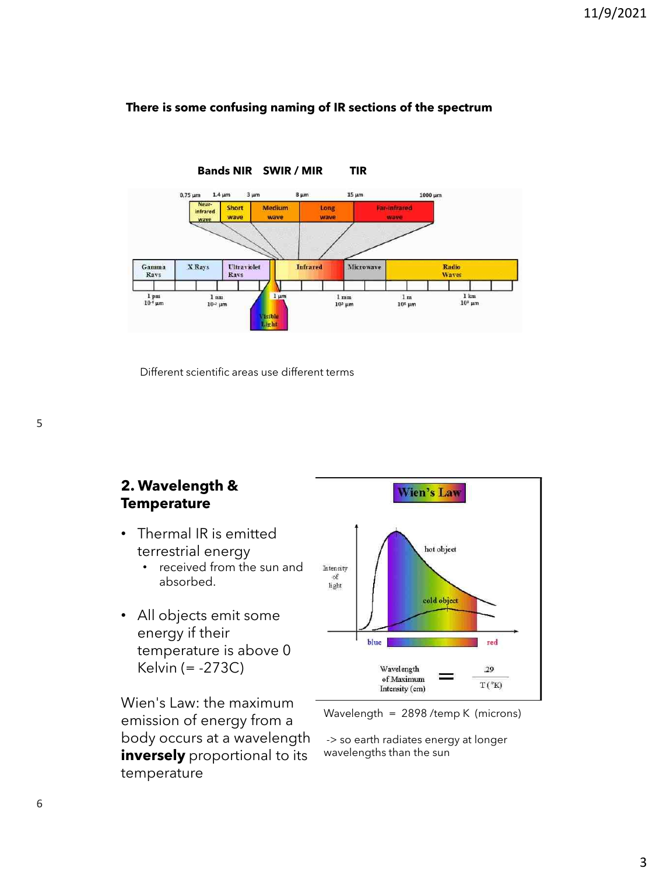#### **There is some confusing naming of IR sections of the spectrum**



Different scientific areas use different terms

#### **2. Wavelength & Temperature**

- Thermal IR is emitted terrestrial energy
	- received from the sun and absorbed.
- All objects emit some energy if their temperature is above 0 Kelvin (= -273C)

Wien's Law: the maximum emission of energy from a body occurs at a wavelength **inversely** proportional to its temperature



Wavelength = 2898 /temp K (microns)

-> so earth radiates energy at longer wavelengths than the sun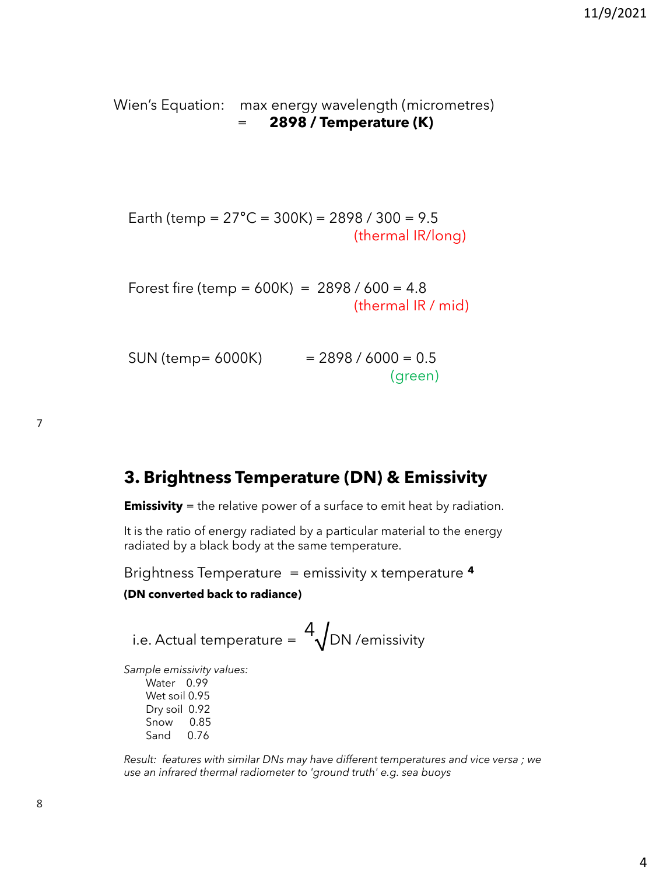Wien's Equation: max energy wavelength (micrometres) = **2898 / Temperature (K)**

Earth (temp =  $27^{\circ}$ C = 300K) = 2898 / 300 = 9.5 (thermal IR/long)

Forest fire (temp =  $600K$ ) = 2898 /  $600 = 4.8$ (thermal IR / mid)

| SUN (temp= 6000K) | $= 2898 / 6000 = 0.5$ |
|-------------------|-----------------------|
|                   | (green)               |

# **3. Brightness Temperature (DN) & Emissivity**

**Emissivity** = the relative power of a surface to emit heat by radiation.

It is the ratio of energy radiated by a particular material to the energy radiated by a black body at the same temperature.

Brightness Temperature = emissivity x temperature **<sup>4</sup>**

#### **(DN converted back to radiance)**

i.e. Actual temperature =  $\frac{4}{\sqrt{D}}$ DN /emissivity

*Sample emissivity values:* Water 0.99

Wet soil 0.95 Dry soil 0.92 Snow 0.85 Sand 0.76

*Result: features with similar DNs may have different temperatures and vice versa ; we use an infrared thermal radiometer to 'ground truth' e.g. sea buoys*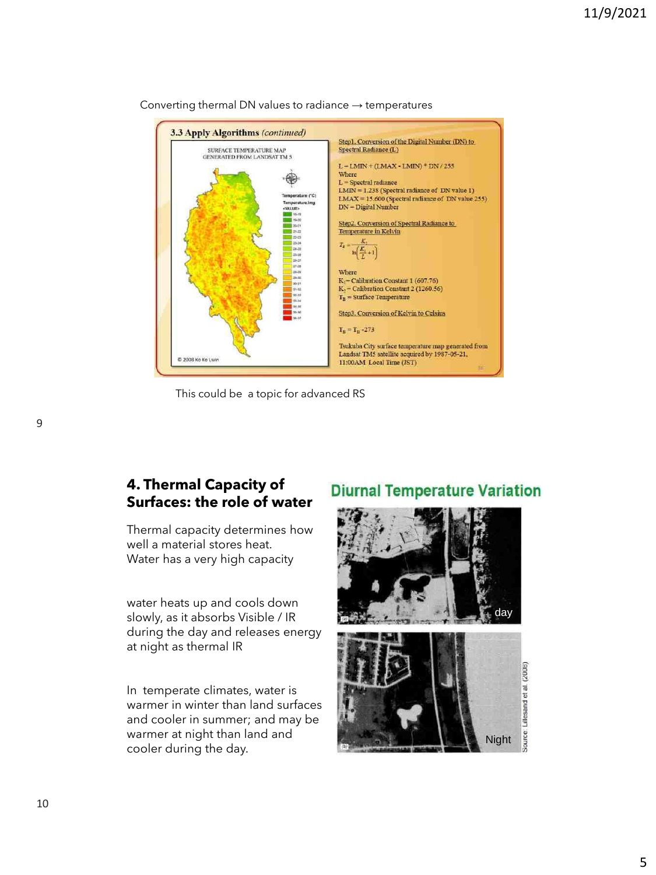

Converting thermal DN values to radiance  $\rightarrow$  temperatures

This could be a topic for advanced RS

#### **4. Thermal Capacity of Surfaces: the role of water**

Thermal capacity determines how well a material stores heat. Water has a very high capacity

water heats up and cools down slowly, as it absorbs Visible / IR during the day and releases energy at night as thermal IR

In temperate climates, water is warmer in winter than land surfaces and cooler in summer; and may be warmer at night than land and cooler during the day.

# **Diurnal Temperature Variation**



10

9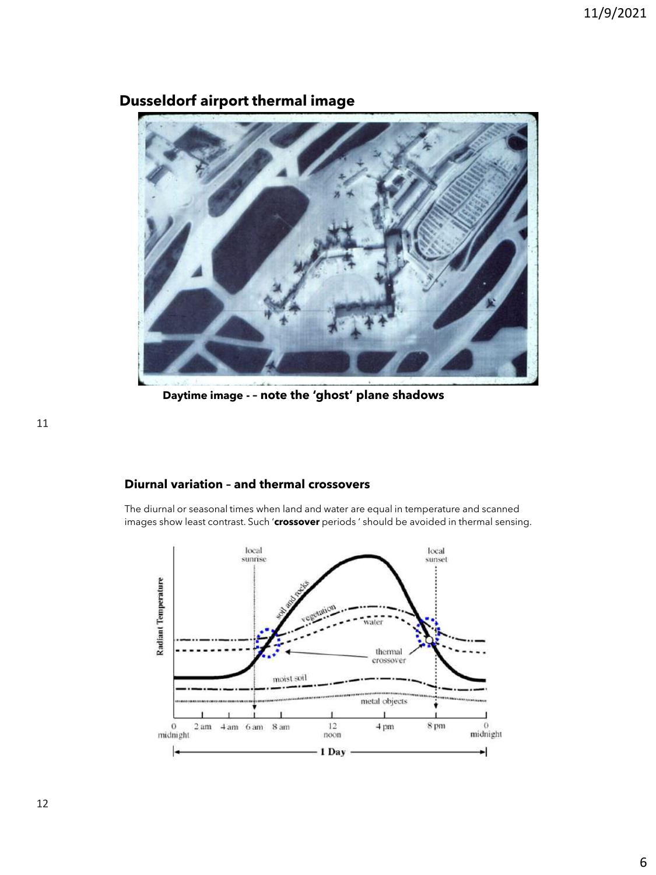

## **Dusseldorf airport thermal image**

**Daytime image - – note the 'ghost' plane shadows**

#### **Diurnal variation – and thermal crossovers**

The diurnal or seasonal times when land and water are equal in temperature and scanned images show least contrast. Such '**crossover** periods ' should be avoided in thermal sensing.

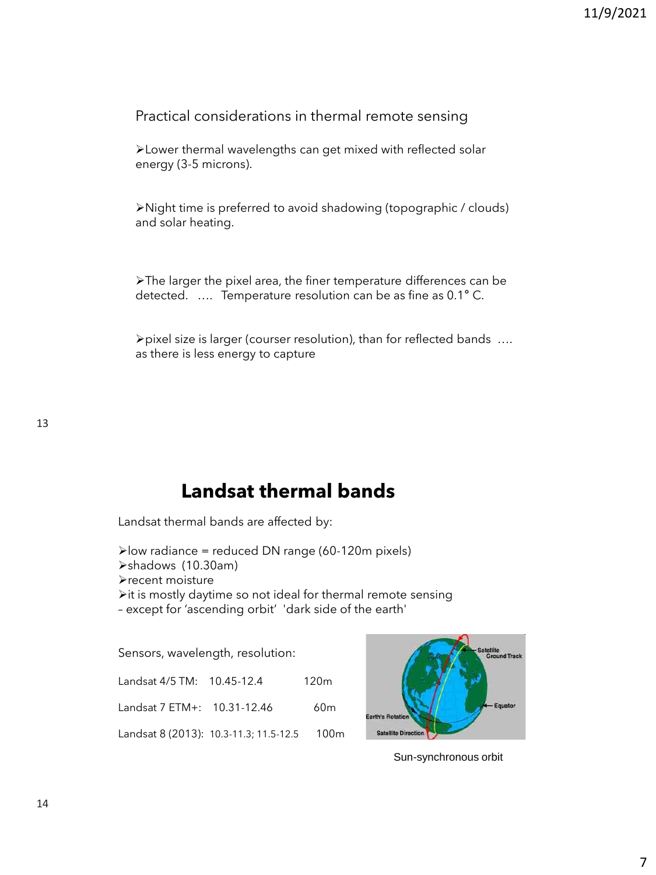Practical considerations in thermal remote sensing

➢Lower thermal wavelengths can get mixed with reflected solar energy (3-5 microns).

➢Night time is preferred to avoid shadowing (topographic / clouds) and solar heating.

➢The larger the pixel area, the finer temperature differences can be detected. …. Temperature resolution can be as fine as 0.1° C.

➢pixel size is larger (courser resolution), than for reflected bands …. as there is less energy to capture

# **Landsat thermal bands**

Landsat thermal bands are affected by:

```
➢low radiance = reduced DN range (60-120m pixels)
➢shadows (10.30am)
➢recent moisture
➢it is mostly daytime so not ideal for thermal remote sensing 
– except for 'ascending orbit' 'dark side of the earth'
```
Sensors, wavelength, resolution:

| Landsat 4/5 TM: 10.45-12.4  |                                             | 120 <sub>m</sub> |
|-----------------------------|---------------------------------------------|------------------|
| Landsat 7 ETM+: 10.31-12.46 |                                             | 60 <sub>m</sub>  |
|                             | Landsat 8 (2013): 10.3-11.3; 11.5-12.5 100m |                  |



Sun-synchronous orbit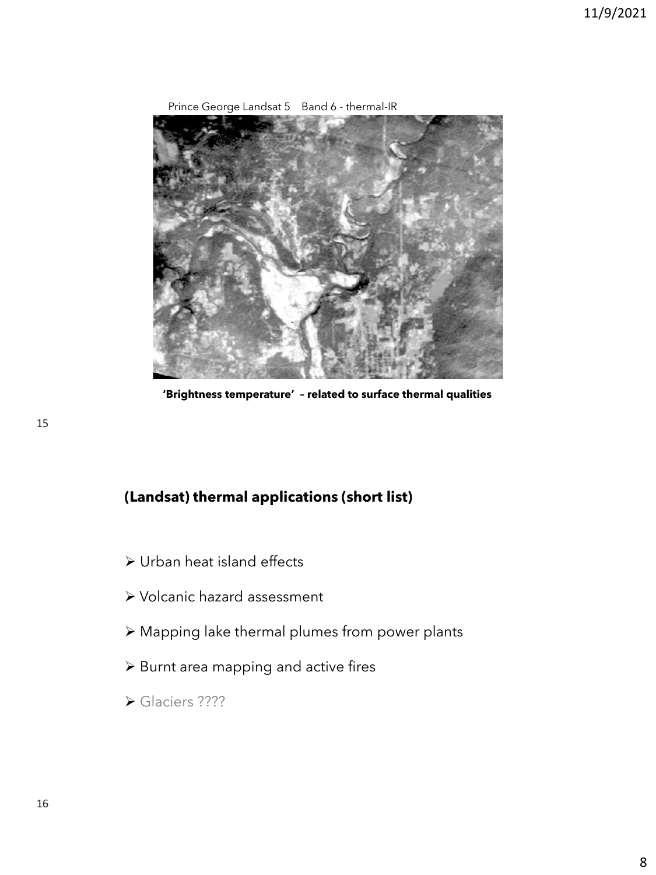

Prince George Landsat 5 Band 6 - thermal-IR

**'Brightness temperature' – related to surface thermal qualities**

# **(Landsat) thermal applications (short list)**

- ➢ Urban heat island effects
- ➢ Volcanic hazard assessment
- ➢ Mapping lake thermal plumes from power plants
- ➢ Burnt area mapping and active fires
- ➢ Glaciers ????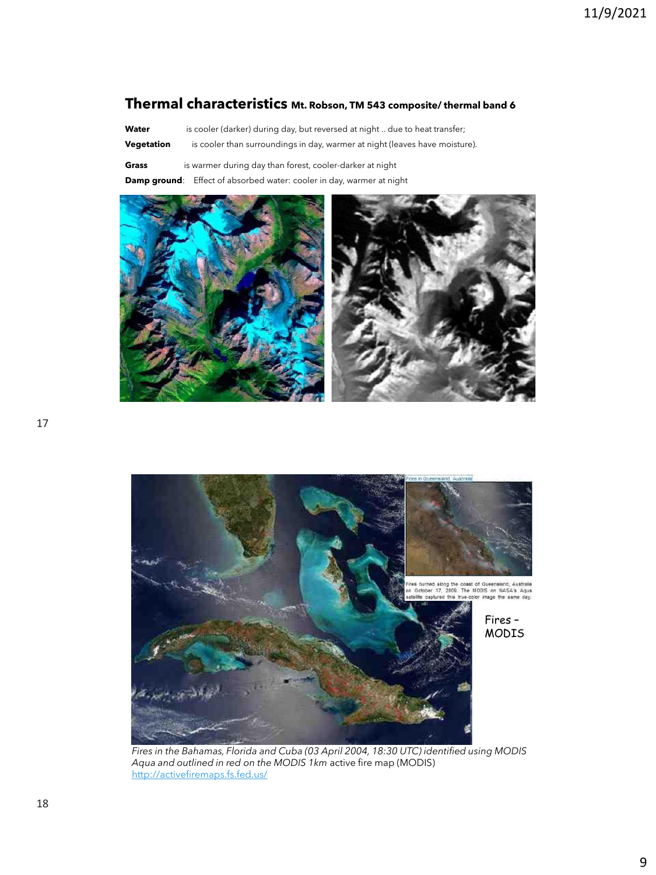#### **Thermal characteristics Mt. Robson, TM 543 composite/ thermal band 6**

Water is cooler (darker) during day, but reversed at night .. due to heat transfer;

- **Vegetation** is cooler than surroundings in day, warmer at night (leaves have moisture).
- **Grass** is warmer during day than forest, cooler-darker at night

**Damp ground**: Effect of absorbed water: cooler in day, warmer at night





*Fires in the Bahamas, Florida and Cuba (03 April 2004, 18:30 UTC) identified using MODIS Aqua and outlined in red on the MODIS 1km* active fire map (MODIS) <http://activefiremaps.fs.fed.us/>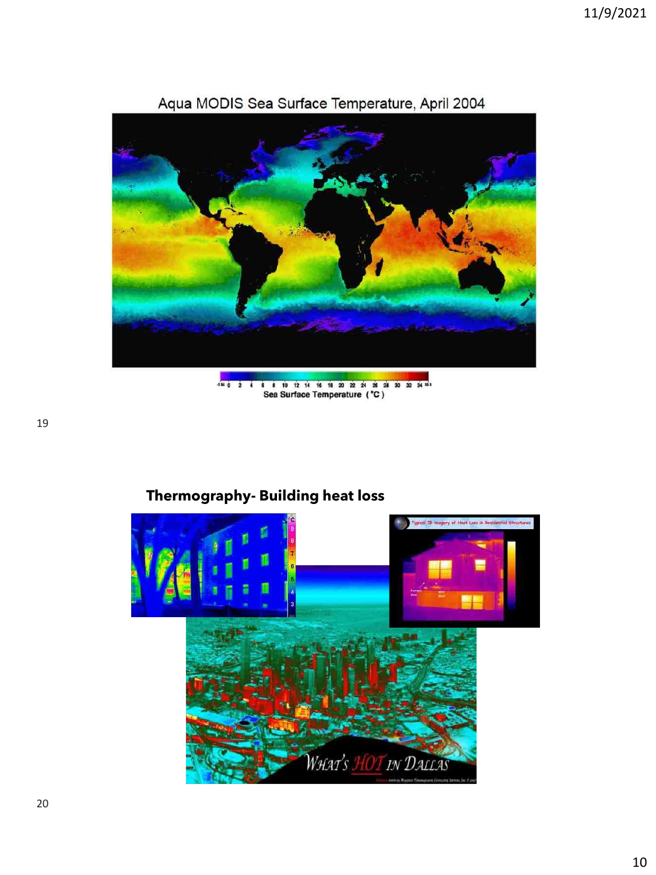

## Aqua MODIS Sea Surface Temperature, April 2004

 $\frac{1}{2}$  tutorial (section 9): http://www.fas.org/int/docs/ratio 9): Sea Surface Temperature (°C)

## **Thermography- Building heat loss**